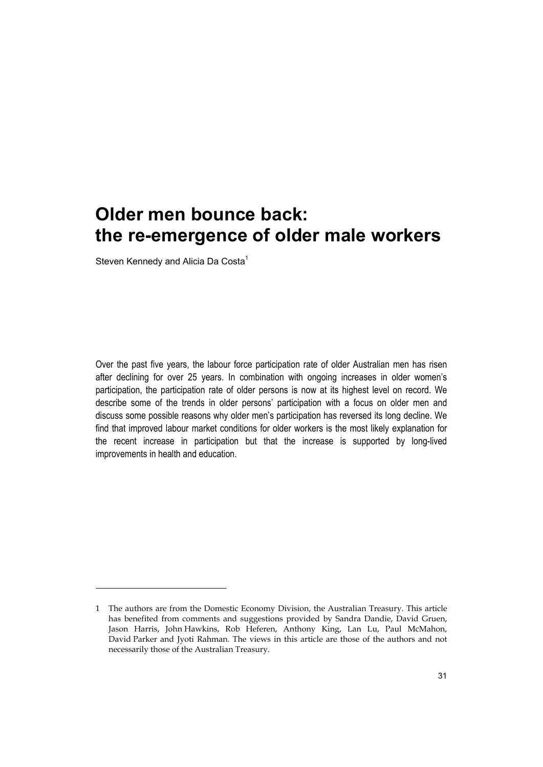Steven Kennedy and Alicia Da Costa<sup>1</sup>

-

Over the past five years, the labour force participation rate of older Australian men has risen after declining for over 25 years. In combination with ongoing increases in older women's participation, the participation rate of older persons is now at its highest level on record. We describe some of the trends in older persons' participation with a focus on older men and discuss some possible reasons why older men's participation has reversed its long decline. We find that improved labour market conditions for older workers is the most likely explanation for the recent increase in participation but that the increase is supported by long-lived improvements in health and education.

<sup>1</sup> The authors are from the Domestic Economy Division, the Australian Treasury. This article has benefited from comments and suggestions provided by Sandra Dandie, David Gruen, Jason Harris, John Hawkins, Rob Heferen, Anthony King, Lan Lu, Paul McMahon, David Parker and Jyoti Rahman. The views in this article are those of the authors and not necessarily those of the Australian Treasury.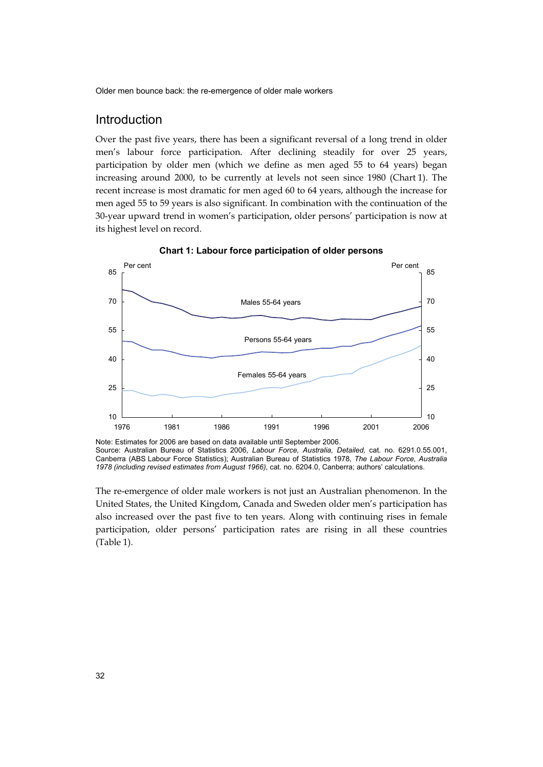## Introduction

Over the past five years, there has been a significant reversal of a long trend in older men's labour force participation. After declining steadily for over 25 years, participation by older men (which we define as men aged 55 to 64 years) began increasing around 2000, to be currently at levels not seen since 1980 (Chart 1). The recent increase is most dramatic for men aged 60 to 64 years, although the increase for men aged 55 to 59 years is also significant. In combination with the continuation of the 30-year upward trend in women's participation, older persons' participation is now at its highest level on record.



**Chart 1: Labour force participation of older persons** 

The re-emergence of older male workers is not just an Australian phenomenon. In the United States, the United Kingdom, Canada and Sweden older men's participation has also increased over the past five to ten years. Along with continuing rises in female participation, older persons' participation rates are rising in all these countries (Table 1).

Note: Estimates for 2006 are based on data available until September 2006. Source: Australian Bureau of Statistics 2006, *Labour Force, Australia, Detailed,* cat. no. 6291.0.55.001, Canberra (ABS Labour Force Statistics); Australian Bureau of Statistics 1978, *The Labour Force, Australia 1978 (including revised estimates from August 1966)*, cat. no. 6204.0, Canberra; authors' calculations.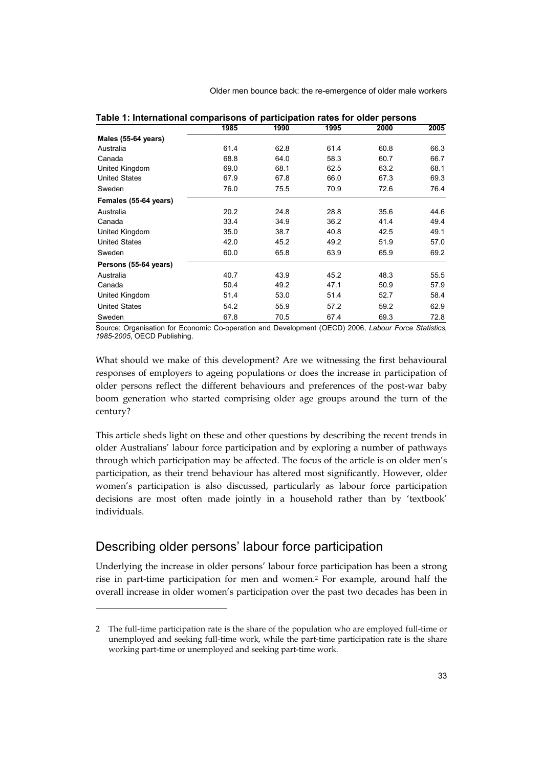|                       | 1985 | 1990 | 1995 | 2000 | 2005 |
|-----------------------|------|------|------|------|------|
| Males (55-64 years)   |      |      |      |      |      |
| Australia             | 61.4 | 62.8 | 61.4 | 60.8 | 66.3 |
| Canada                | 68.8 | 64.0 | 58.3 | 60.7 | 66.7 |
| United Kingdom        | 69.0 | 68.1 | 62.5 | 63.2 | 68.1 |
| <b>United States</b>  | 67.9 | 67.8 | 66.0 | 67.3 | 69.3 |
| Sweden                | 76.0 | 75.5 | 70.9 | 72.6 | 76.4 |
| Females (55-64 years) |      |      |      |      |      |
| Australia             | 20.2 | 24.8 | 28.8 | 35.6 | 44.6 |
| Canada                | 33.4 | 34.9 | 36.2 | 41.4 | 49.4 |
| United Kingdom        | 35.0 | 38.7 | 40.8 | 42.5 | 49.1 |
| <b>United States</b>  | 42.0 | 45.2 | 49.2 | 51.9 | 57.0 |
| Sweden                | 60.0 | 65.8 | 63.9 | 65.9 | 69.2 |
| Persons (55-64 years) |      |      |      |      |      |
| Australia             | 40.7 | 43.9 | 45.2 | 48.3 | 55.5 |
| Canada                | 50.4 | 49.2 | 47.1 | 50.9 | 57.9 |
| United Kingdom        | 51.4 | 53.0 | 51.4 | 52.7 | 58.4 |
| <b>United States</b>  | 54.2 | 55.9 | 57.2 | 59.2 | 62.9 |
| Sweden                | 67.8 | 70.5 | 67.4 | 69.3 | 72.8 |

| Table 1: International comparisons of participation rates for older persons |  |  |  |  |  |  |
|-----------------------------------------------------------------------------|--|--|--|--|--|--|
|-----------------------------------------------------------------------------|--|--|--|--|--|--|

Source: Organisation for Economic Co-operation and Development (OECD) 2006, *Labour Force Statistics, 1985-2005*, OECD Publishing.

What should we make of this development? Are we witnessing the first behavioural responses of employers to ageing populations or does the increase in participation of older persons reflect the different behaviours and preferences of the post-war baby boom generation who started comprising older age groups around the turn of the century?

This article sheds light on these and other questions by describing the recent trends in older Australians' labour force participation and by exploring a number of pathways through which participation may be affected. The focus of the article is on older men's participation, as their trend behaviour has altered most significantly. However, older women's participation is also discussed, particularly as labour force participation decisions are most often made jointly in a household rather than by 'textbook' individuals.

## Describing older persons' labour force participation

-

Underlying the increase in older persons' labour force participation has been a strong rise in part-time participation for men and women.2 For example, around half the overall increase in older women's participation over the past two decades has been in

<sup>2</sup> The full-time participation rate is the share of the population who are employed full-time or unemployed and seeking full-time work, while the part-time participation rate is the share working part-time or unemployed and seeking part-time work.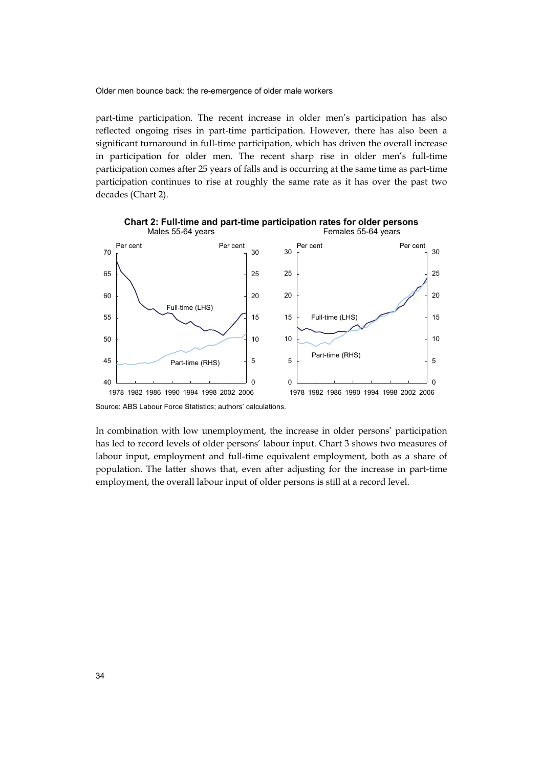part-time participation. The recent increase in older men's participation has also reflected ongoing rises in part-time participation. However, there has also been a significant turnaround in full-time participation, which has driven the overall increase in participation for older men. The recent sharp rise in older men's full-time participation comes after 25 years of falls and is occurring at the same time as part-time participation continues to rise at roughly the same rate as it has over the past two decades (Chart 2).



**Chart 2: Full-time and part-time participation rates for older persons**  Males 55-64 years Females 55-64 years

In combination with low unemployment, the increase in older persons' participation has led to record levels of older persons' labour input. Chart 3 shows two measures of labour input, employment and full-time equivalent employment, both as a share of population. The latter shows that, even after adjusting for the increase in part-time employment, the overall labour input of older persons is still at a record level.

Source: ABS Labour Force Statistics; authors' calculations.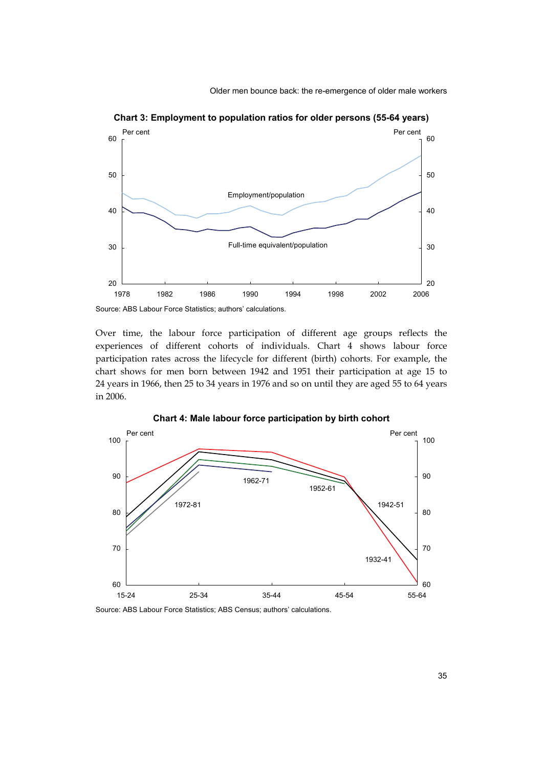

**Chart 3: Employment to population ratios for older persons (55-64 years)** 

Source: ABS Labour Force Statistics; authors' calculations.

Over time, the labour force participation of different age groups reflects the experiences of different cohorts of individuals. Chart 4 shows labour force participation rates across the lifecycle for different (birth) cohorts. For example, the chart shows for men born between 1942 and 1951 their participation at age 15 to 24 years in 1966, then 25 to 34 years in 1976 and so on until they are aged 55 to 64 years in 2006.





Source: ABS Labour Force Statistics; ABS Census; authors' calculations.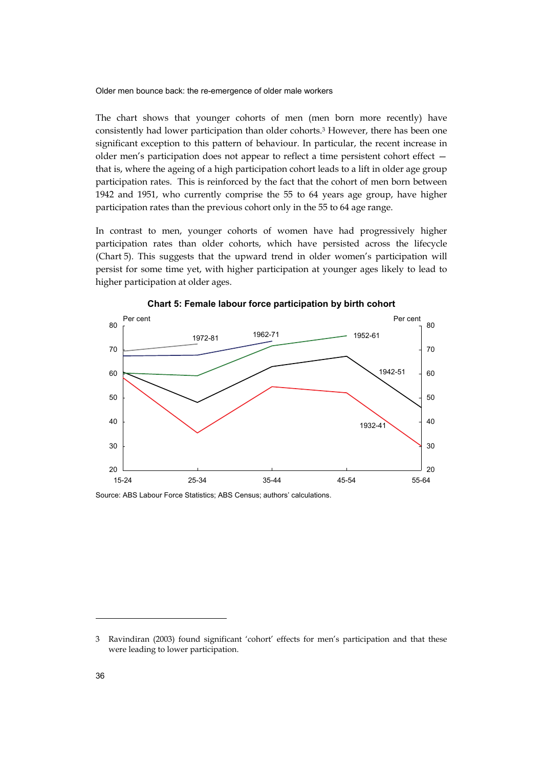The chart shows that younger cohorts of men (men born more recently) have consistently had lower participation than older cohorts.3 However, there has been one significant exception to this pattern of behaviour. In particular, the recent increase in older men's participation does not appear to reflect a time persistent cohort effect that is, where the ageing of a high participation cohort leads to a lift in older age group participation rates. This is reinforced by the fact that the cohort of men born between 1942 and 1951, who currently comprise the 55 to 64 years age group, have higher participation rates than the previous cohort only in the 55 to 64 age range.

In contrast to men, younger cohorts of women have had progressively higher participation rates than older cohorts, which have persisted across the lifecycle (Chart 5). This suggests that the upward trend in older women's participation will persist for some time yet, with higher participation at younger ages likely to lead to higher participation at older ages.



**Chart 5: Female labour force participation by birth cohort** 

Source: ABS Labour Force Statistics; ABS Census; authors' calculations.

-

<sup>3</sup> Ravindiran (2003) found significant 'cohort' effects for men's participation and that these were leading to lower participation.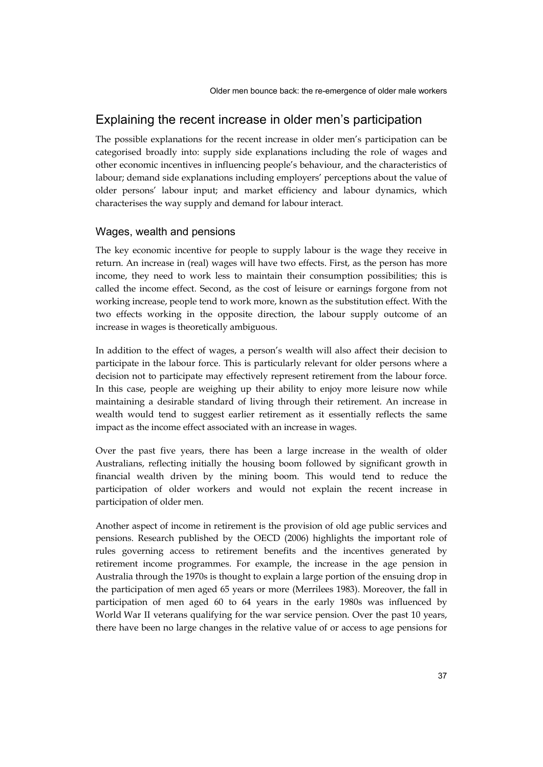### Explaining the recent increase in older men's participation

The possible explanations for the recent increase in older men's participation can be categorised broadly into: supply side explanations including the role of wages and other economic incentives in influencing people's behaviour, and the characteristics of labour; demand side explanations including employers' perceptions about the value of older persons' labour input; and market efficiency and labour dynamics, which characterises the way supply and demand for labour interact.

#### Wages, wealth and pensions

The key economic incentive for people to supply labour is the wage they receive in return. An increase in (real) wages will have two effects. First, as the person has more income, they need to work less to maintain their consumption possibilities; this is called the income effect. Second, as the cost of leisure or earnings forgone from not working increase, people tend to work more, known as the substitution effect. With the two effects working in the opposite direction, the labour supply outcome of an increase in wages is theoretically ambiguous.

In addition to the effect of wages, a person's wealth will also affect their decision to participate in the labour force. This is particularly relevant for older persons where a decision not to participate may effectively represent retirement from the labour force. In this case, people are weighing up their ability to enjoy more leisure now while maintaining a desirable standard of living through their retirement. An increase in wealth would tend to suggest earlier retirement as it essentially reflects the same impact as the income effect associated with an increase in wages.

Over the past five years, there has been a large increase in the wealth of older Australians, reflecting initially the housing boom followed by significant growth in financial wealth driven by the mining boom. This would tend to reduce the participation of older workers and would not explain the recent increase in participation of older men.

Another aspect of income in retirement is the provision of old age public services and pensions. Research published by the OECD (2006) highlights the important role of rules governing access to retirement benefits and the incentives generated by retirement income programmes. For example, the increase in the age pension in Australia through the 1970s is thought to explain a large portion of the ensuing drop in the participation of men aged 65 years or more (Merrilees 1983). Moreover, the fall in participation of men aged 60 to 64 years in the early 1980s was influenced by World War II veterans qualifying for the war service pension. Over the past 10 years, there have been no large changes in the relative value of or access to age pensions for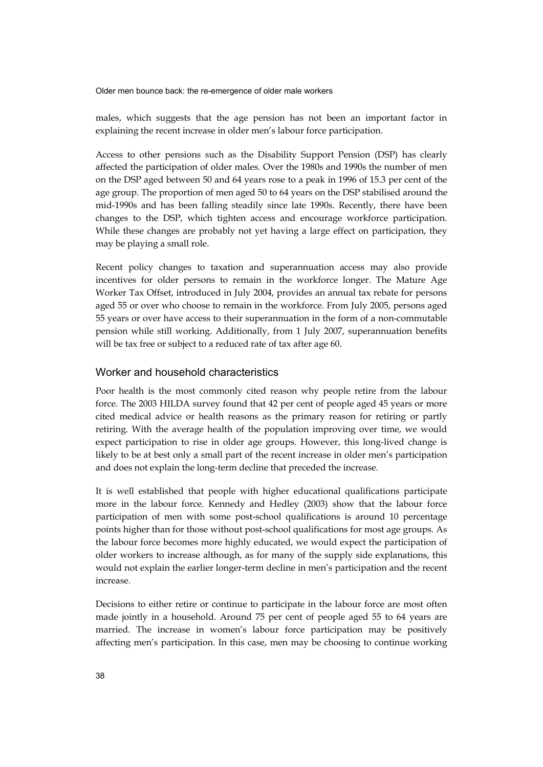males, which suggests that the age pension has not been an important factor in explaining the recent increase in older men's labour force participation.

Access to other pensions such as the Disability Support Pension (DSP) has clearly affected the participation of older males. Over the 1980s and 1990s the number of men on the DSP aged between 50 and 64 years rose to a peak in 1996 of 15.3 per cent of the age group. The proportion of men aged 50 to 64 years on the DSP stabilised around the mid-1990s and has been falling steadily since late 1990s. Recently, there have been changes to the DSP, which tighten access and encourage workforce participation. While these changes are probably not yet having a large effect on participation, they may be playing a small role.

Recent policy changes to taxation and superannuation access may also provide incentives for older persons to remain in the workforce longer. The Mature Age Worker Tax Offset, introduced in July 2004, provides an annual tax rebate for persons aged 55 or over who choose to remain in the workforce. From July 2005, persons aged 55 years or over have access to their superannuation in the form of a non-commutable pension while still working. Additionally, from 1 July 2007, superannuation benefits will be tax free or subject to a reduced rate of tax after age 60.

#### Worker and household characteristics

Poor health is the most commonly cited reason why people retire from the labour force. The 2003 HILDA survey found that 42 per cent of people aged 45 years or more cited medical advice or health reasons as the primary reason for retiring or partly retiring. With the average health of the population improving over time, we would expect participation to rise in older age groups. However, this long-lived change is likely to be at best only a small part of the recent increase in older men's participation and does not explain the long-term decline that preceded the increase.

It is well established that people with higher educational qualifications participate more in the labour force. Kennedy and Hedley (2003) show that the labour force participation of men with some post-school qualifications is around 10 percentage points higher than for those without post-school qualifications for most age groups. As the labour force becomes more highly educated, we would expect the participation of older workers to increase although, as for many of the supply side explanations, this would not explain the earlier longer-term decline in men's participation and the recent increase.

Decisions to either retire or continue to participate in the labour force are most often made jointly in a household. Around 75 per cent of people aged 55 to 64 years are married. The increase in women's labour force participation may be positively affecting men's participation. In this case, men may be choosing to continue working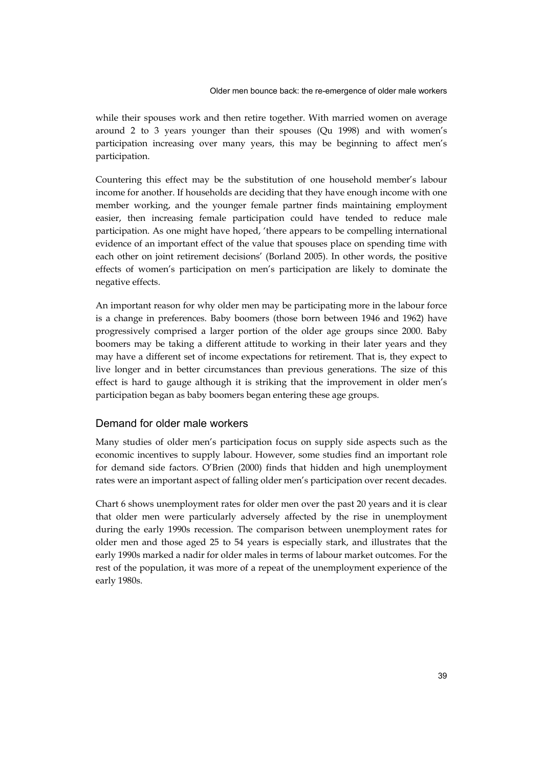while their spouses work and then retire together. With married women on average around 2 to 3 years younger than their spouses (Qu 1998) and with women's participation increasing over many years, this may be beginning to affect men's participation.

Countering this effect may be the substitution of one household member's labour income for another. If households are deciding that they have enough income with one member working, and the younger female partner finds maintaining employment easier, then increasing female participation could have tended to reduce male participation. As one might have hoped, 'there appears to be compelling international evidence of an important effect of the value that spouses place on spending time with each other on joint retirement decisions' (Borland 2005). In other words, the positive effects of women's participation on men's participation are likely to dominate the negative effects.

An important reason for why older men may be participating more in the labour force is a change in preferences. Baby boomers (those born between 1946 and 1962) have progressively comprised a larger portion of the older age groups since 2000. Baby boomers may be taking a different attitude to working in their later years and they may have a different set of income expectations for retirement. That is, they expect to live longer and in better circumstances than previous generations. The size of this effect is hard to gauge although it is striking that the improvement in older men's participation began as baby boomers began entering these age groups.

#### Demand for older male workers

Many studies of older men's participation focus on supply side aspects such as the economic incentives to supply labour. However, some studies find an important role for demand side factors. O'Brien (2000) finds that hidden and high unemployment rates were an important aspect of falling older men's participation over recent decades.

Chart 6 shows unemployment rates for older men over the past 20 years and it is clear that older men were particularly adversely affected by the rise in unemployment during the early 1990s recession. The comparison between unemployment rates for older men and those aged 25 to 54 years is especially stark, and illustrates that the early 1990s marked a nadir for older males in terms of labour market outcomes. For the rest of the population, it was more of a repeat of the unemployment experience of the early 1980s.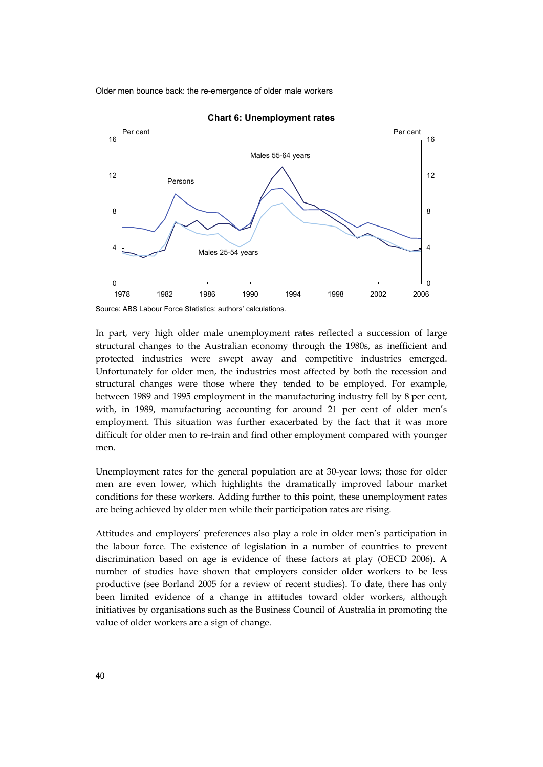

**Chart 6: Unemployment rates** 

In part, very high older male unemployment rates reflected a succession of large structural changes to the Australian economy through the 1980s, as inefficient and protected industries were swept away and competitive industries emerged. Unfortunately for older men, the industries most affected by both the recession and structural changes were those where they tended to be employed. For example, between 1989 and 1995 employment in the manufacturing industry fell by 8 per cent, with, in 1989, manufacturing accounting for around 21 per cent of older men's employment. This situation was further exacerbated by the fact that it was more difficult for older men to re-train and find other employment compared with younger men.

Unemployment rates for the general population are at 30-year lows; those for older men are even lower, which highlights the dramatically improved labour market conditions for these workers. Adding further to this point, these unemployment rates are being achieved by older men while their participation rates are rising.

Attitudes and employers' preferences also play a role in older men's participation in the labour force. The existence of legislation in a number of countries to prevent discrimination based on age is evidence of these factors at play (OECD 2006). A number of studies have shown that employers consider older workers to be less productive (see Borland 2005 for a review of recent studies). To date, there has only been limited evidence of a change in attitudes toward older workers, although initiatives by organisations such as the Business Council of Australia in promoting the value of older workers are a sign of change.

Source: ABS Labour Force Statistics; authors' calculations.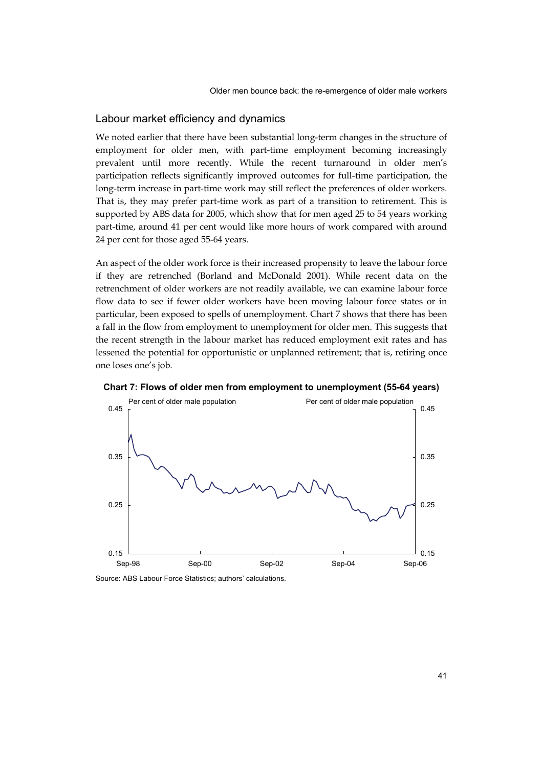#### Labour market efficiency and dynamics

We noted earlier that there have been substantial long-term changes in the structure of employment for older men, with part-time employment becoming increasingly prevalent until more recently. While the recent turnaround in older men's participation reflects significantly improved outcomes for full-time participation, the long-term increase in part-time work may still reflect the preferences of older workers. That is, they may prefer part-time work as part of a transition to retirement. This is supported by ABS data for 2005, which show that for men aged 25 to 54 years working part-time, around 41 per cent would like more hours of work compared with around 24 per cent for those aged 55-64 years.

An aspect of the older work force is their increased propensity to leave the labour force if they are retrenched (Borland and McDonald 2001). While recent data on the retrenchment of older workers are not readily available, we can examine labour force flow data to see if fewer older workers have been moving labour force states or in particular, been exposed to spells of unemployment. Chart 7 shows that there has been a fall in the flow from employment to unemployment for older men. This suggests that the recent strength in the labour market has reduced employment exit rates and has lessened the potential for opportunistic or unplanned retirement; that is, retiring once one loses one's job.



**Chart 7: Flows of older men from employment to unemployment (55-64 years)** 

Source: ABS Labour Force Statistics; authors' calculations.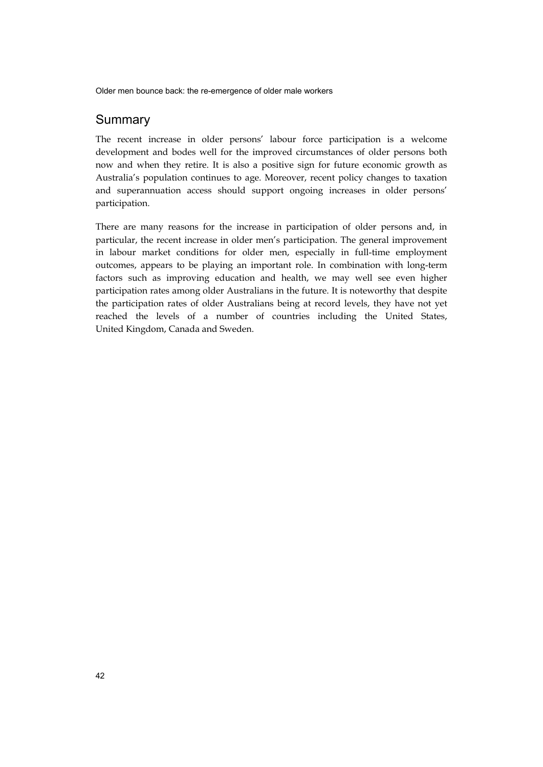## Summary

The recent increase in older persons' labour force participation is a welcome development and bodes well for the improved circumstances of older persons both now and when they retire. It is also a positive sign for future economic growth as Australia's population continues to age. Moreover, recent policy changes to taxation and superannuation access should support ongoing increases in older persons' participation.

There are many reasons for the increase in participation of older persons and, in particular, the recent increase in older men's participation. The general improvement in labour market conditions for older men, especially in full-time employment outcomes, appears to be playing an important role. In combination with long-term factors such as improving education and health, we may well see even higher participation rates among older Australians in the future. It is noteworthy that despite the participation rates of older Australians being at record levels, they have not yet reached the levels of a number of countries including the United States, United Kingdom, Canada and Sweden.